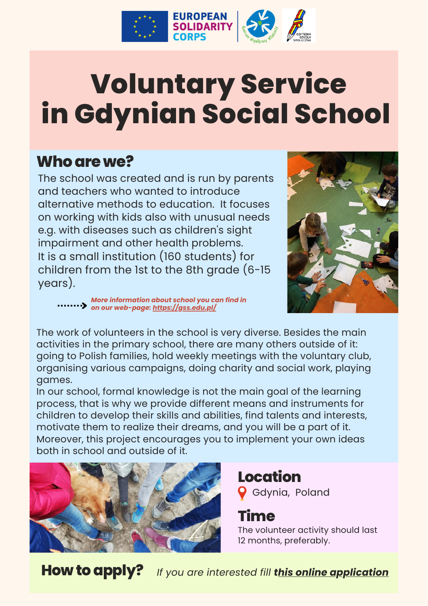

## **Voluntary Service in Gdynian Social School**

#### **Whoarewe?**

The school was created and is run by parents and teachers who wanted to introduce alternative methods to education. It focuses on working with kids also with unusual needs e.g. with diseases such as children's sight impairment and other health problems. It is a small institution (160 students) for children from the 1st to the 8th grade (6-15 years).



*More information about school you can find in on our web-page: https://gss.edu.pl/*

The work of volunteers in the school is very diverse. Besides the main activities in the primary school, there are many others outside of it: going to Polish families, hold weekly meetings with the voluntary club, organising various campaigns, doing charity and social work, playing games.

In our school, formal knowledge is not the main goal of the learning process, that is why we provide different means and instruments for children to develop their skills and abilities, find talents and interests, motivate them to realize their dreams, and you will be a part of it. Moreover, this project encourages you to implement your own ideas both in school and outside of it.



#### **Location** Gdynia, Poland

**Time**

The volunteer activity should last 12 months, preferably.

**Howtoapply?** *If you are interested fill this online application*